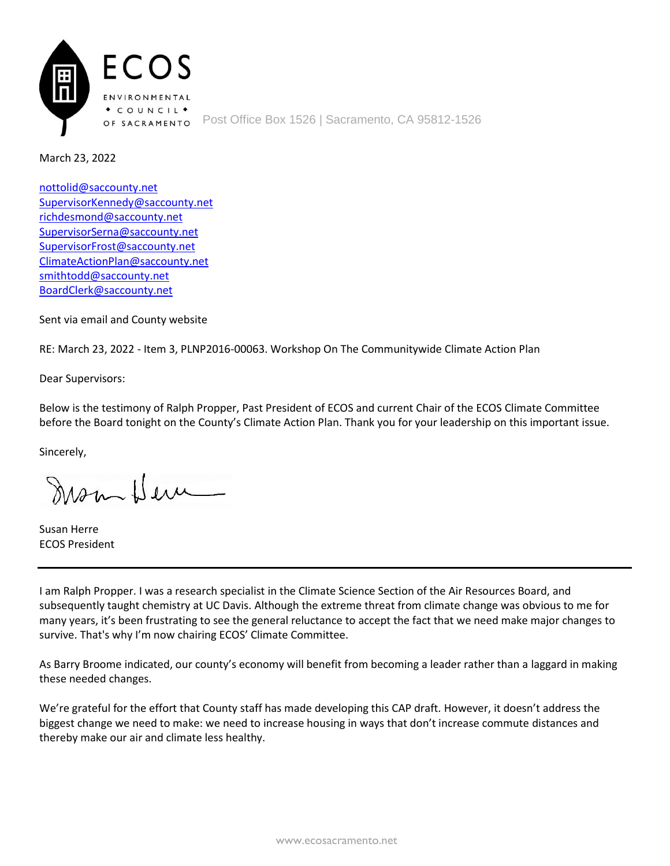

March 23, 2022

[nottolid@saccounty.net](mailto:nottolid@saccounty.net) [SupervisorKennedy@saccounty.net](mailto:SupervisorKennedy@saccounty.net) [richdesmond@saccounty.net](mailto:richdesmond@saccounty.net) [SupervisorSerna@saccounty.net](mailto:SupervisorSerna@saccounty.net) [SupervisorFrost@saccounty.net](mailto:SupervisorFrost@saccounty.net) [ClimateActionPlan@saccounty.net](mailto:ClimateActionPlan@saccounty.net) [smithtodd@saccounty.net](mailto:smithtodd@saccounty.net) [BoardClerk@saccounty.net](mailto:BoardClerk@saccounty.net)

Sent via email and County website

RE: March 23, 2022 - Item 3, PLNP2016-00063. Workshop On The Communitywide Climate Action Plan

Dear Supervisors:

Below is the testimony of Ralph Propper, Past President of ECOS and current Chair of the ECOS Climate Committee before the Board tonight on the County's Climate Action Plan. Thank you for your leadership on this important issue.

Sincerely,

mon Here

Susan Herre ECOS President

I am Ralph Propper. I was a research specialist in the Climate Science Section of the Air Resources Board, and subsequently taught chemistry at UC Davis. Although the extreme threat from climate change was obvious to me for many years, it's been frustrating to see the general reluctance to accept the fact that we need make major changes to survive. That's why I'm now chairing ECOS' Climate Committee.

As Barry Broome indicated, our county's economy will benefit from becoming a leader rather than a laggard in making these needed changes.

We're grateful for the effort that County staff has made developing this CAP draft. However, it doesn't address the biggest change we need to make: we need to increase housing in ways that don't increase commute distances and thereby make our air and climate less healthy.